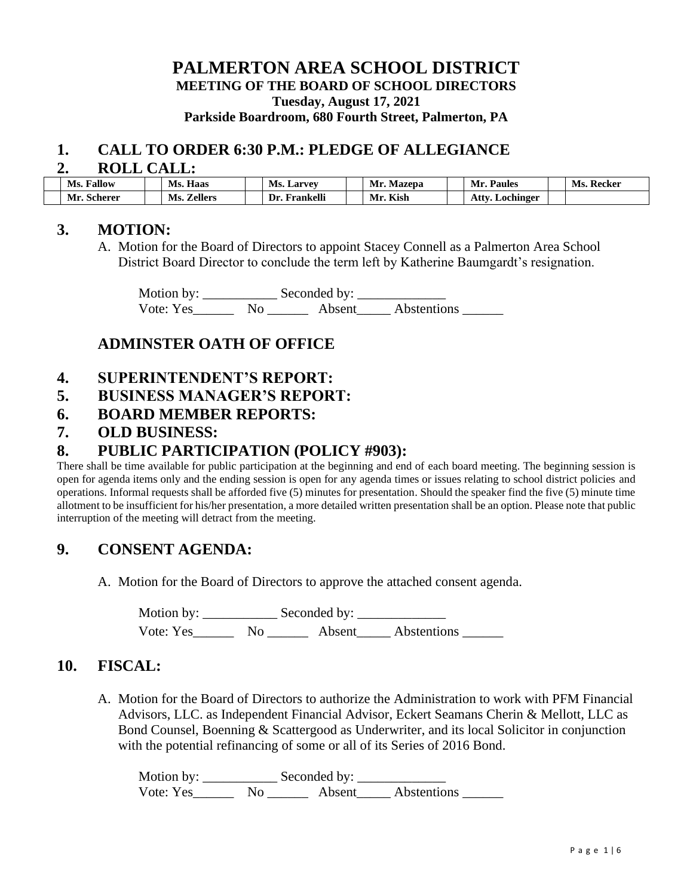### **PALMERTON AREA SCHOOL DISTRICT MEETING OF THE BOARD OF SCHOOL DIRECTORS Tuesday, August 17, 2021 Parkside Boardroom, 680 Fourth Street, Palmerton, PA**

#### **1. CALL TO ORDER 6:30 P.M.: PLEDGE OF ALLEGIANCE**

#### **2. ROLL CALL:**

| ____<br>_________ |                       |  |                       |  |                   |  |            |                      |               |
|-------------------|-----------------------|--|-----------------------|--|-------------------|--|------------|----------------------|---------------|
|                   | <b>Fallow</b><br>Ms.  |  | Haas<br>Ms.           |  | <b>Ms. Larvey</b> |  | Mr. Mazepa | <b>Paules</b><br>Mr. | Recker<br>Ms. |
|                   | - -<br>Scherer<br>Mr. |  | <b>Zellers</b><br>Ms. |  | Frankelli<br>Dr.  |  | Kish<br>Mr | Atty<br>Lochinger    |               |

#### **3. MOTION:**

A. Motion for the Board of Directors to appoint Stacey Connell as a Palmerton Area School District Board Director to conclude the term left by Katherine Baumgardt's resignation.

 Motion by: \_\_\_\_\_\_\_\_\_\_\_ Seconded by: \_\_\_\_\_\_\_\_\_\_\_\_\_ Vote: Yes\_\_\_\_\_\_\_\_ No \_\_\_\_\_\_\_\_ Absent\_\_\_\_\_ Abstentions \_\_\_\_\_

## **ADMINSTER OATH OF OFFICE**

- **4. SUPERINTENDENT'S REPORT:**
- **5. BUSINESS MANAGER'S REPORT:**
- **6. BOARD MEMBER REPORTS:**
- **7. OLD BUSINESS:**

## **8. PUBLIC PARTICIPATION (POLICY #903):**

There shall be time available for public participation at the beginning and end of each board meeting. The beginning session is open for agenda items only and the ending session is open for any agenda times or issues relating to school district policies and operations. Informal requests shall be afforded five (5) minutes for presentation. Should the speaker find the five (5) minute time allotment to be insufficient for his/her presentation, a more detailed written presentation shall be an option. Please note that public interruption of the meeting will detract from the meeting.

### **9. CONSENT AGENDA:**

A. Motion for the Board of Directors to approve the attached consent agenda.

Motion by: \_\_\_\_\_\_\_\_\_\_\_ Seconded by: \_\_\_\_\_\_\_\_\_\_\_\_\_ Vote: Yes\_\_\_\_\_\_\_\_ No \_\_\_\_\_\_\_\_ Absent\_\_\_\_\_\_ Abstentions \_\_\_\_\_\_\_

#### **10. FISCAL:**

A. Motion for the Board of Directors to authorize the Administration to work with PFM Financial Advisors, LLC. as Independent Financial Advisor, Eckert Seamans Cherin & Mellott, LLC as Bond Counsel, Boenning & Scattergood as Underwriter, and its local Solicitor in conjunction with the potential refinancing of some or all of its Series of 2016 Bond.

Motion by: \_\_\_\_\_\_\_\_\_\_\_ Seconded by: \_\_\_\_\_\_\_\_\_\_\_\_\_ Vote: Yes\_\_\_\_\_\_\_\_ No \_\_\_\_\_\_\_\_ Absent\_\_\_\_\_\_ Abstentions \_\_\_\_\_\_\_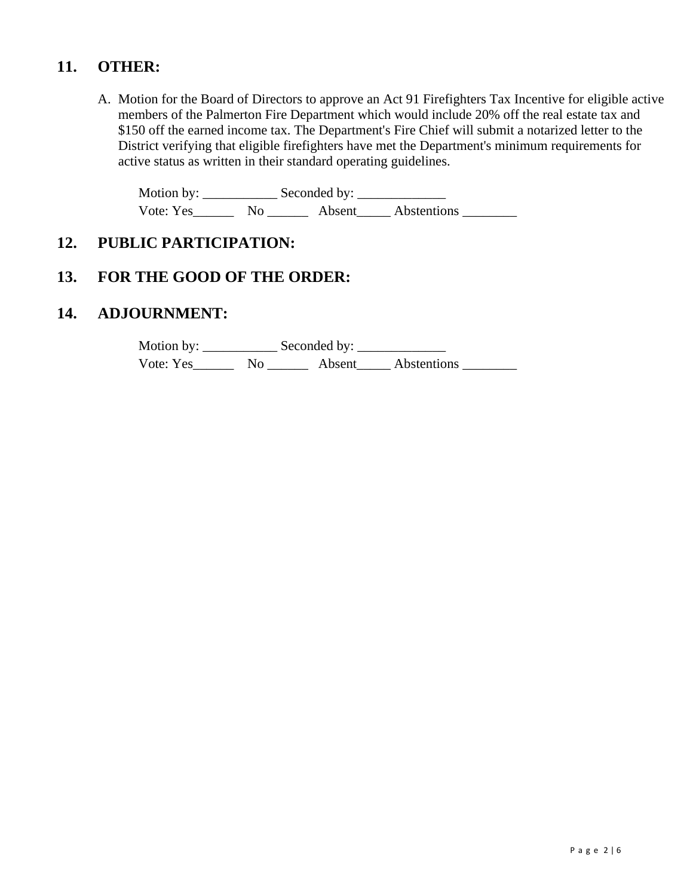## **11. OTHER:**

A. Motion for the Board of Directors to approve an Act 91 Firefighters Tax Incentive for eligible active members of the Palmerton Fire Department which would include 20% off the real estate tax and \$150 off the earned income tax. The Department's Fire Chief will submit a notarized letter to the District verifying that eligible firefighters have met the Department's minimum requirements for active status as written in their standard operating guidelines.

Motion by: \_\_\_\_\_\_\_\_\_\_\_ Seconded by: \_\_\_\_\_\_\_\_\_\_\_\_\_ Vote: Yes\_\_\_\_\_\_\_\_ No \_\_\_\_\_\_\_\_ Absent\_\_\_\_\_\_ Abstentions \_\_\_\_\_\_\_\_\_

## **12. PUBLIC PARTICIPATION:**

# **13. FOR THE GOOD OF THE ORDER:**

## **14. ADJOURNMENT:**

Motion by: \_\_\_\_\_\_\_\_\_\_\_ Seconded by: \_\_\_\_\_\_\_\_\_\_\_\_\_ Vote: Yes\_\_\_\_\_\_\_\_ No \_\_\_\_\_\_\_\_ Absent\_\_\_\_\_\_ Abstentions \_\_\_\_\_\_\_\_\_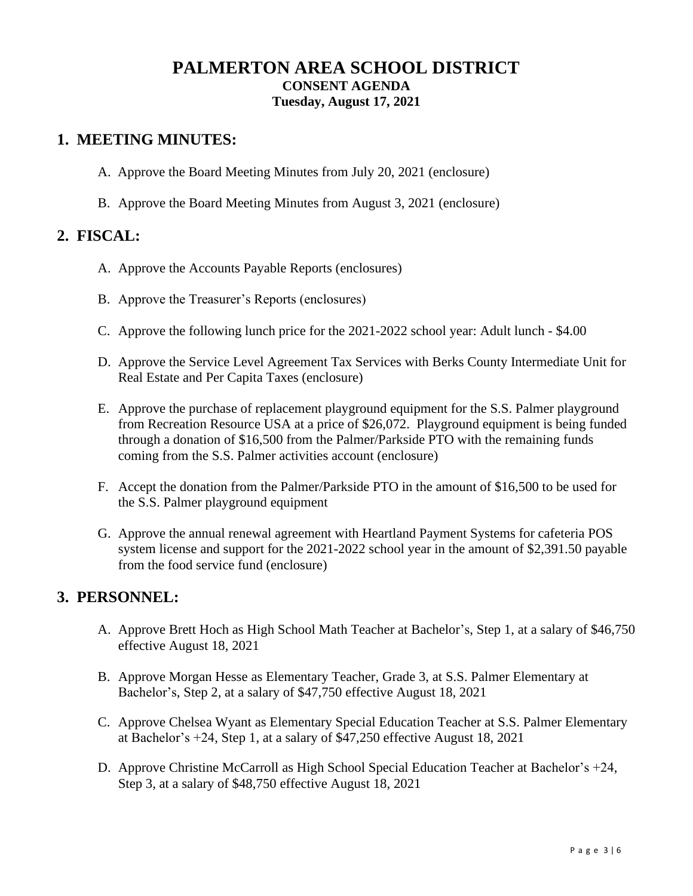## **PALMERTON AREA SCHOOL DISTRICT CONSENT AGENDA Tuesday, August 17, 2021**

### **1. MEETING MINUTES:**

- A. Approve the Board Meeting Minutes from July 20, 2021 (enclosure)
- B. Approve the Board Meeting Minutes from August 3, 2021 (enclosure)

## **2. FISCAL:**

- A. Approve the Accounts Payable Reports (enclosures)
- B. Approve the Treasurer's Reports (enclosures)
- C. Approve the following lunch price for the 2021-2022 school year: Adult lunch \$4.00
- D. Approve the Service Level Agreement Tax Services with Berks County Intermediate Unit for Real Estate and Per Capita Taxes (enclosure)
- E. Approve the purchase of replacement playground equipment for the S.S. Palmer playground from Recreation Resource USA at a price of \$26,072. Playground equipment is being funded through a donation of \$16,500 from the Palmer/Parkside PTO with the remaining funds coming from the S.S. Palmer activities account (enclosure)
- F. Accept the donation from the Palmer/Parkside PTO in the amount of \$16,500 to be used for the S.S. Palmer playground equipment
- G. Approve the annual renewal agreement with Heartland Payment Systems for cafeteria POS system license and support for the 2021-2022 school year in the amount of \$2,391.50 payable from the food service fund (enclosure)

### **3. PERSONNEL:**

- A. Approve Brett Hoch as High School Math Teacher at Bachelor's, Step 1, at a salary of \$46,750 effective August 18, 2021
- B. Approve Morgan Hesse as Elementary Teacher, Grade 3, at S.S. Palmer Elementary at Bachelor's, Step 2, at a salary of \$47,750 effective August 18, 2021
- C. Approve Chelsea Wyant as Elementary Special Education Teacher at S.S. Palmer Elementary at Bachelor's +24, Step 1, at a salary of \$47,250 effective August 18, 2021
- D. Approve Christine McCarroll as High School Special Education Teacher at Bachelor's +24, Step 3, at a salary of \$48,750 effective August 18, 2021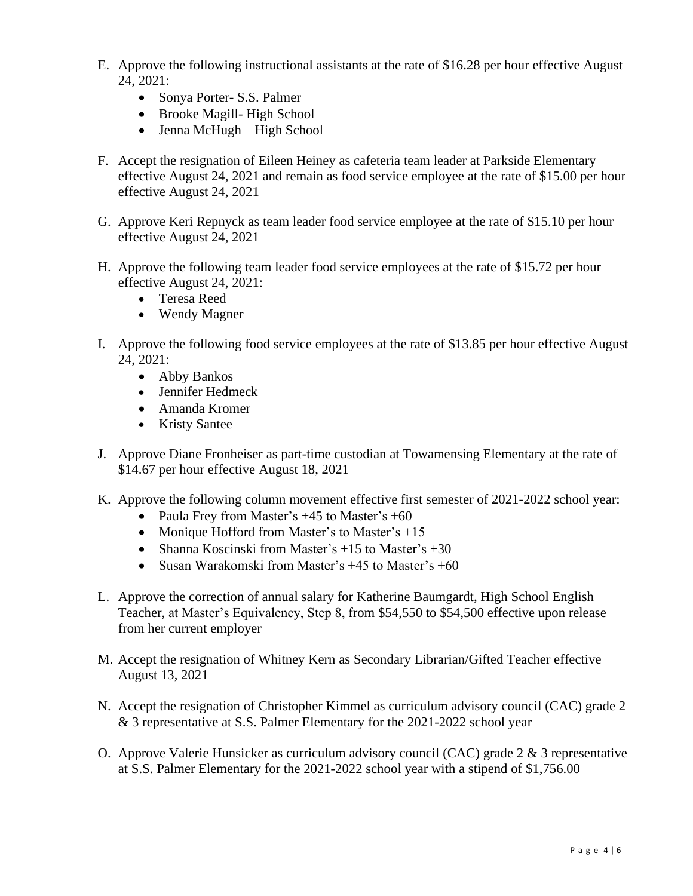- E. Approve the following instructional assistants at the rate of \$16.28 per hour effective August 24, 2021:
	- Sonya Porter- S.S. Palmer
	- Brooke Magill-High School
	- Jenna McHugh High School
- F. Accept the resignation of Eileen Heiney as cafeteria team leader at Parkside Elementary effective August 24, 2021 and remain as food service employee at the rate of \$15.00 per hour effective August 24, 2021
- G. Approve Keri Repnyck as team leader food service employee at the rate of \$15.10 per hour effective August 24, 2021
- H. Approve the following team leader food service employees at the rate of \$15.72 per hour effective August 24, 2021:
	- Teresa Reed
	- Wendy Magner
- I. Approve the following food service employees at the rate of \$13.85 per hour effective August 24, 2021:
	- Abby Bankos
	- Jennifer Hedmeck
	- Amanda Kromer
	- Kristy Santee
- J. Approve Diane Fronheiser as part-time custodian at Towamensing Elementary at the rate of \$14.67 per hour effective August 18, 2021
- K. Approve the following column movement effective first semester of 2021-2022 school year:
	- Paula Frey from Master's +45 to Master's +60
	- Monique Hofford from Master's to Master's +15
	- Shanna Koscinski from Master's  $+15$  to Master's  $+30$
	- Susan Warakomski from Master's +45 to Master's +60
- L. Approve the correction of annual salary for Katherine Baumgardt, High School English Teacher, at Master's Equivalency, Step 8, from \$54,550 to \$54,500 effective upon release from her current employer
- M. Accept the resignation of Whitney Kern as Secondary Librarian/Gifted Teacher effective August 13, 2021
- N. Accept the resignation of Christopher Kimmel as curriculum advisory council (CAC) grade 2 & 3 representative at S.S. Palmer Elementary for the 2021-2022 school year
- O. Approve Valerie Hunsicker as curriculum advisory council (CAC) grade 2 & 3 representative at S.S. Palmer Elementary for the 2021-2022 school year with a stipend of \$1,756.00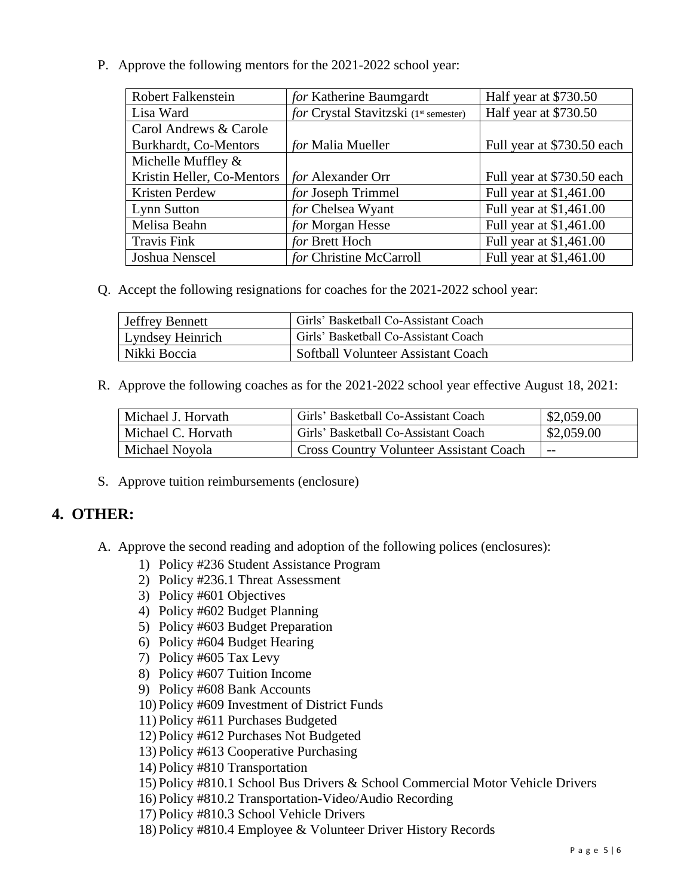P. Approve the following mentors for the 2021-2022 school year:

| <b>Robert Falkenstein</b>  | for Katherine Baumgardt               | Half year at \$730.50      |  |  |
|----------------------------|---------------------------------------|----------------------------|--|--|
| Lisa Ward                  | for Crystal Stavitzski (1st semester) | Half year at \$730.50      |  |  |
| Carol Andrews & Carole     |                                       |                            |  |  |
| Burkhardt, Co-Mentors      | for Malia Mueller                     | Full year at \$730.50 each |  |  |
| Michelle Muffley $\&$      |                                       |                            |  |  |
| Kristin Heller, Co-Mentors | <i>for</i> Alexander Orr              | Full year at \$730.50 each |  |  |
| Kristen Perdew             | for Joseph Trimmel                    | Full year at \$1,461.00    |  |  |
| Lynn Sutton                | for Chelsea Wyant                     | Full year at \$1,461.00    |  |  |
| Melisa Beahn               | for Morgan Hesse                      | Full year at \$1,461.00    |  |  |
| <b>Travis Fink</b>         | for Brett Hoch                        | Full year at \$1,461.00    |  |  |
| Joshua Nenscel             | for Christine McCarroll               | Full year at \$1,461.00    |  |  |

Q. Accept the following resignations for coaches for the 2021-2022 school year:

| Jeffrey Bennett  | Girls' Basketball Co-Assistant Coach |  |
|------------------|--------------------------------------|--|
| Lyndsey Heinrich | Girls' Basketball Co-Assistant Coach |  |
| Nikki Boccia     | Softball Volunteer Assistant Coach   |  |

R. Approve the following coaches as for the 2021-2022 school year effective August 18, 2021:

| Michael J. Horvath | Girls' Basketball Co-Assistant Coach      | \$2,059.00 |
|--------------------|-------------------------------------------|------------|
| Michael C. Horvath | Girls' Basketball Co-Assistant Coach      | \$2,059.00 |
| Michael Noyola     | ' Cross Country Volunteer Assistant Coach | $- -$      |

S. Approve tuition reimbursements (enclosure)

### **4. OTHER:**

- A. Approve the second reading and adoption of the following polices (enclosures):
	- 1) Policy #236 Student Assistance Program
	- 2) Policy #236.1 Threat Assessment
	- 3) Policy #601 Objectives
	- 4) Policy #602 Budget Planning
	- 5) Policy #603 Budget Preparation
	- 6) Policy #604 Budget Hearing
	- 7) Policy #605 Tax Levy
	- 8) Policy #607 Tuition Income
	- 9) Policy #608 Bank Accounts
	- 10) Policy #609 Investment of District Funds
	- 11) Policy #611 Purchases Budgeted
	- 12) Policy #612 Purchases Not Budgeted
	- 13) Policy #613 Cooperative Purchasing
	- 14) Policy #810 Transportation
	- 15) Policy #810.1 School Bus Drivers & School Commercial Motor Vehicle Drivers
	- 16) Policy #810.2 Transportation-Video/Audio Recording
	- 17) Policy #810.3 School Vehicle Drivers
	- 18) Policy #810.4 Employee & Volunteer Driver History Records